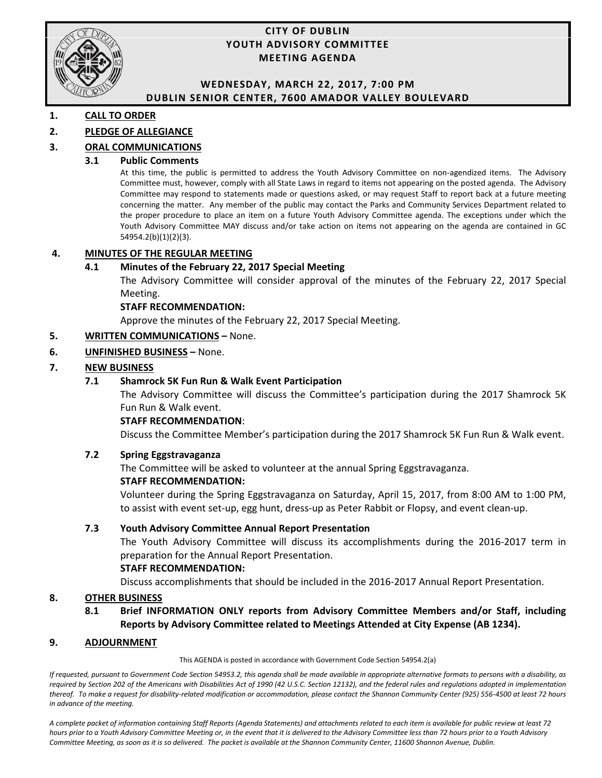

#### **CITY OF DUBLIN YOUTH ADVISORY COMMITTEE MEETING AGENDA**

#### **WEDNESDAY, MARCH 22, 2017, 7:00 PM DUBLIN SENIOR CENTER, 7600 AMADOR VALLEY BOULEVARD**

#### **1. CALL TO ORDER**

#### **2. PLEDGE OF ALLEGIANCE**

#### **3. ORAL COMMUNICATIONS**

#### **3.1 Public Comments**

At this time, the public is permitted to address the Youth Advisory Committee on non-agendized items. The Advisory Committee must, however, comply with all State Laws in regard to items not appearing on the posted agenda. The Advisory Committee may respond to statements made or questions asked, or may request Staff to report back at a future meeting concerning the matter. Any member of the public may contact the Parks and Community Services Department related to the proper procedure to place an item on a future Youth Advisory Committee agenda. The exceptions under which the Youth Advisory Committee MAY discuss and/or take action on items not appearing on the agenda are contained in GC 54954.2(b)(1)(2)(3).

#### **4. MINUTES OF THE REGULAR MEETING**

#### **4.1 Minutes of the February 22, 2017 Special Meeting**

The Advisory Committee will consider approval of the minutes of the February 22, 2017 Special Meeting.

#### **STAFF RECOMMENDATION:**

Approve the minutes of the February 22, 2017 Special Meeting.

#### **5. WRITTEN COMMUNICATIONS –** None.

#### **6. UNFINISHED BUSINESS –** None.

#### **7. NEW BUSINESS**

#### **7.1 Shamrock 5K Fun Run & Walk Event Participation**

The Advisory Committee will discuss the Committee's participation during the 2017 Shamrock 5K Fun Run & Walk event.

#### **STAFF RECOMMENDATION**:

Discuss the Committee Member's participation during the 2017 Shamrock 5K Fun Run & Walk event.

#### **7.2 Spring Eggstravaganza**

The Committee will be asked to volunteer at the annual Spring Eggstravaganza.

#### **STAFF RECOMMENDATION:**

Volunteer during the Spring Eggstravaganza on Saturday, April 15, 2017, from 8:00 AM to 1:00 PM, to assist with event set-up, egg hunt, dress-up as Peter Rabbit or Flopsy, and event clean-up.

#### **7.3 Youth Advisory Committee Annual Report Presentation**

The Youth Advisory Committee will discuss its accomplishments during the 2016-2017 term in preparation for the Annual Report Presentation.

#### **STAFF RECOMMENDATION:**

Discuss accomplishments that should be included in the 2016-2017 Annual Report Presentation.

#### **8. OTHER BUSINESS**

**8.1 Brief INFORMATION ONLY reports from Advisory Committee Members and/or Staff, including Reports by Advisory Committee related to Meetings Attended at City Expense (AB 1234).**

#### **9. ADJOURNMENT**

This AGENDA is posted in accordance with Government Code Section 54954.2(a)

*If requested, pursuant to Government Code Section 54953.2, this agenda shall be made available in appropriate alternative formats to persons with a disability, as required by Section 202 of the Americans with Disabilities Act of 1990 (42 U.S.C. Section 12132), and the federal rules and regulations adopted in implementation thereof. To make a request for disability-related modification or accommodation, please contact the Shannon Community Center (925) 556-4500 at least 72 hours in advance of the meeting.*

A complete packet of information containing Staff Reports (Agenda Statements) and attachments related to each item is available for public review at least 72 *hours prior to a Youth Advisory Committee Meeting or, in the event that it is delivered to the Advisory Committee less than 72 hours prior to a Youth Advisory*  Committee Meeting, as soon as it is so delivered. The packet is available at the Shannon Community Center, 11600 Shannon Avenue, Dublin.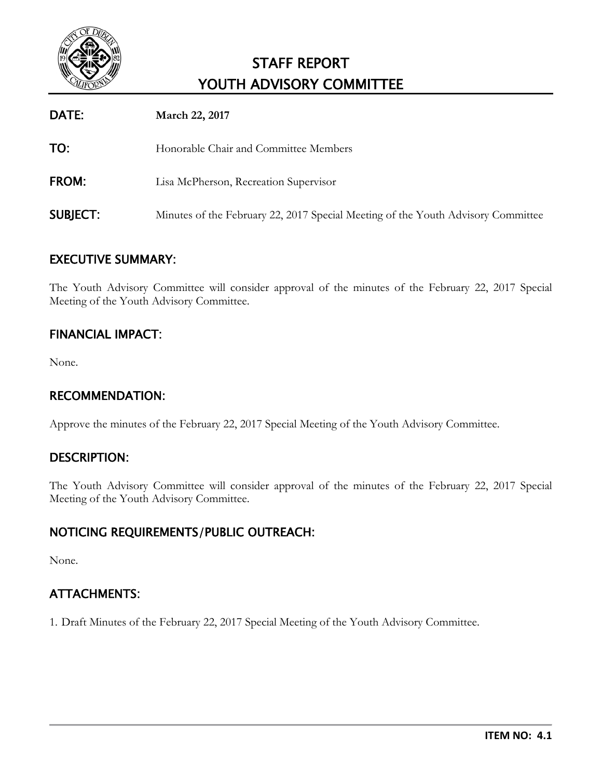

| DATE:           | March 22, 2017                                                                   |
|-----------------|----------------------------------------------------------------------------------|
| TO:             | Honorable Chair and Committee Members                                            |
| FROM:           | Lisa McPherson, Recreation Supervisor                                            |
| <b>SUBJECT:</b> | Minutes of the February 22, 2017 Special Meeting of the Youth Advisory Committee |

## EXECUTIVE SUMMARY:

The Youth Advisory Committee will consider approval of the minutes of the February 22, 2017 Special Meeting of the Youth Advisory Committee.

## FINANCIAL IMPACT:

None.

### RECOMMENDATION:

Approve the minutes of the February 22, 2017 Special Meeting of the Youth Advisory Committee.

### DESCRIPTION:

The Youth Advisory Committee will consider approval of the minutes of the February 22, 2017 Special Meeting of the Youth Advisory Committee.

## NOTICING REQUIREMENTS/PUBLIC OUTREACH:

None.

## ATTACHMENTS:

1. Draft Minutes of the February 22, 2017 Special Meeting of the Youth Advisory Committee.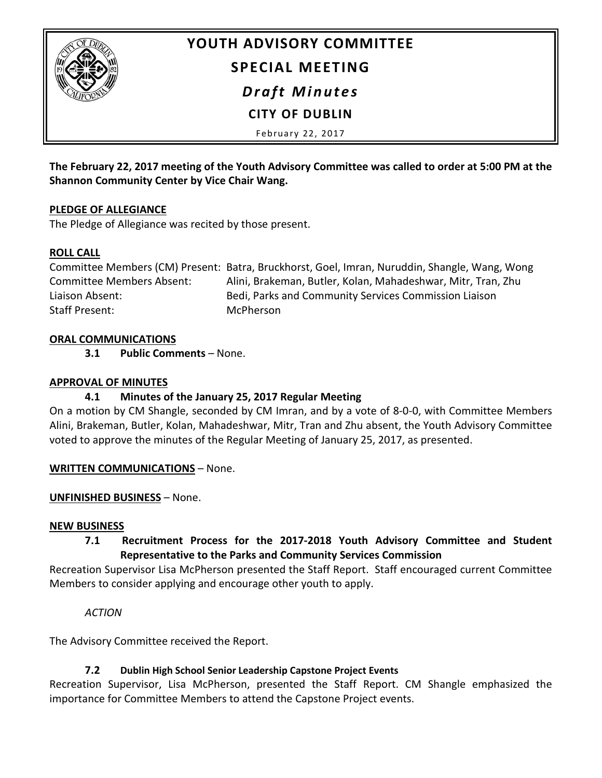

# **YOUTH ADVISORY COMMITTEE SPECIAL MEETING** *Draft Minutes*

**CITY OF DUBLIN**

February 22, 2017

**The February 22, 2017 meeting of the Youth Advisory Committee was called to order at 5:00 PM at the Shannon Community Center by Vice Chair Wang.**

#### **PLEDGE OF ALLEGIANCE**

The Pledge of Allegiance was recited by those present.

#### **ROLL CALL**

Committee Members (CM) Present: Batra, Bruckhorst, Goel, Imran, Nuruddin, Shangle, Wang, Wong Committee Members Absent: Alini, Brakeman, Butler, Kolan, Mahadeshwar, Mitr, Tran, Zhu Liaison Absent: Bedi, Parks and Community Services Commission Liaison Staff Present: McPherson

#### **ORAL COMMUNICATIONS**

**3.1 Public Comments** – None.

#### **APPROVAL OF MINUTES**

### **4.1 Minutes of the January 25, 2017 Regular Meeting**

On a motion by CM Shangle, seconded by CM Imran, and by a vote of 8-0-0, with Committee Members Alini, Brakeman, Butler, Kolan, Mahadeshwar, Mitr, Tran and Zhu absent, the Youth Advisory Committee voted to approve the minutes of the Regular Meeting of January 25, 2017, as presented.

**WRITTEN COMMUNICATIONS** – None.

### **UNFINISHED BUSINESS** – None.

#### **NEW BUSINESS**

## **7.1 Recruitment Process for the 2017-2018 Youth Advisory Committee and Student Representative to the Parks and Community Services Commission**

Recreation Supervisor Lisa McPherson presented the Staff Report. Staff encouraged current Committee Members to consider applying and encourage other youth to apply.

### *ACTION*

The Advisory Committee received the Report.

### **7.2 Dublin High School Senior Leadership Capstone Project Events**

Recreation Supervisor, Lisa McPherson, presented the Staff Report. CM Shangle emphasized the importance for Committee Members to attend the Capstone Project events.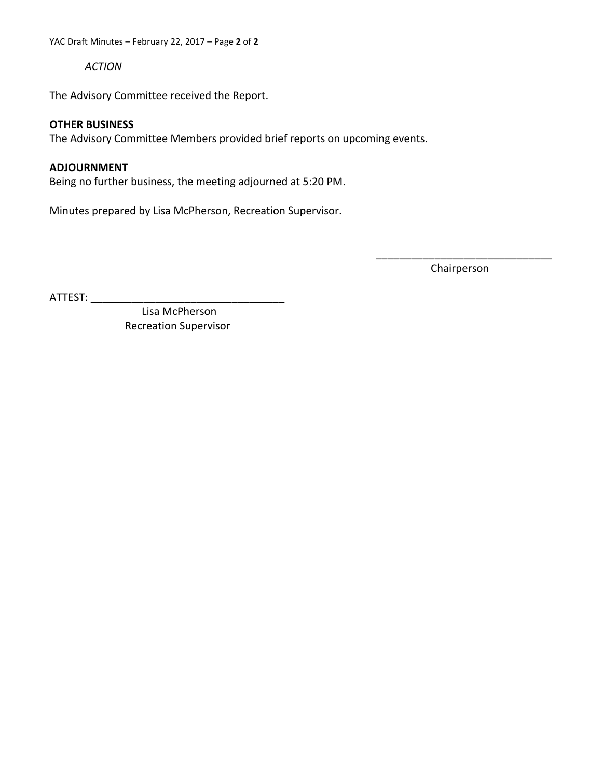YAC Draft Minutes – February 22, 2017 – Page **2** of **2**

*ACTION*

The Advisory Committee received the Report.

#### **OTHER BUSINESS**

The Advisory Committee Members provided brief reports on upcoming events.

#### **ADJOURNMENT**

Being no further business, the meeting adjourned at 5:20 PM.

Minutes prepared by Lisa McPherson, Recreation Supervisor.

\_\_\_\_\_\_\_\_\_\_\_\_\_\_\_\_\_\_\_\_\_\_\_\_\_\_\_\_\_\_ Chairperson

ATTEST: \_\_\_\_\_\_\_\_\_\_\_\_\_\_\_\_\_\_\_\_\_\_\_\_\_\_\_\_\_\_\_\_\_

 Lisa McPherson Recreation Supervisor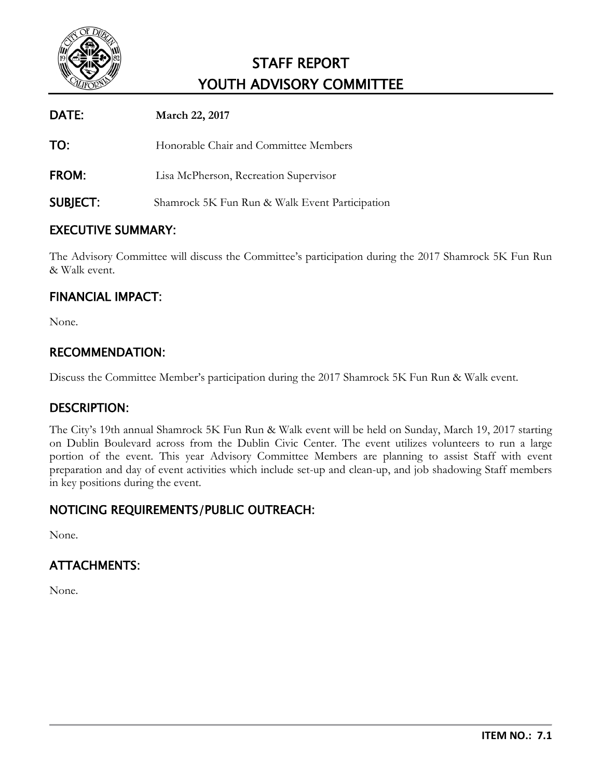

| DATE:           | March 22, 2017                                 |
|-----------------|------------------------------------------------|
| TO:             | Honorable Chair and Committee Members          |
| <b>FROM:</b>    | Lisa McPherson, Recreation Supervisor          |
| <b>SUBJECT:</b> | Shamrock 5K Fun Run & Walk Event Participation |

## EXECUTIVE SUMMARY:

The Advisory Committee will discuss the Committee's participation during the 2017 Shamrock 5K Fun Run & Walk event.

## FINANCIAL IMPACT:

None.

## RECOMMENDATION:

Discuss the Committee Member's participation during the 2017 Shamrock 5K Fun Run & Walk event.

### DESCRIPTION:

The City's 19th annual Shamrock 5K Fun Run & Walk event will be held on Sunday, March 19, 2017 starting on Dublin Boulevard across from the Dublin Civic Center. The event utilizes volunteers to run a large portion of the event. This year Advisory Committee Members are planning to assist Staff with event preparation and day of event activities which include set-up and clean-up, and job shadowing Staff members in key positions during the event.

## NOTICING REQUIREMENTS/PUBLIC OUTREACH:

None.

## ATTACHMENTS:

None.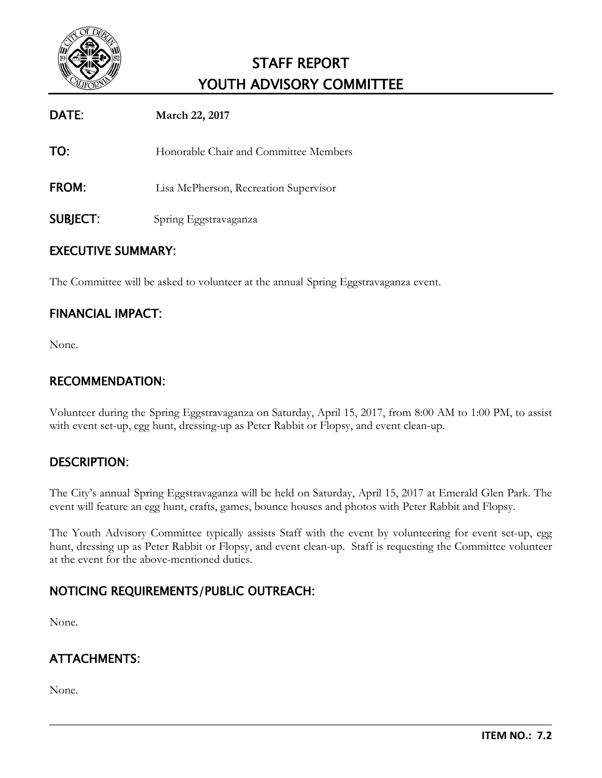

| DATE:           | <b>March 22, 2017</b>                 |
|-----------------|---------------------------------------|
| TO:             | Honorable Chair and Committee Members |
| <b>FROM:</b>    | Lisa McPherson, Recreation Supervisor |
| <b>SUBJECT:</b> | Spring Eggstravaganza                 |

## EXECUTIVE SUMMARY:

The Committee will be asked to volunteer at the annual Spring Eggstravaganza event.

### FINANCIAL IMPACT:

None.

## RECOMMENDATION:

Volunteer during the Spring Eggstravaganza on Saturday, April 15, 2017, from 8:00 AM to 1:00 PM, to assist with event set-up, egg hunt, dressing-up as Peter Rabbit or Flopsy, and event clean-up.

### DESCRIPTION:

The City's annual Spring Eggstravaganza will be held on Saturday, April 15, 2017 at Emerald Glen Park. The event will feature an egg hunt, crafts, games, bounce houses and photos with Peter Rabbit and Flopsy.

The Youth Advisory Committee typically assists Staff with the event by volunteering for event set-up, egg hunt, dressing up as Peter Rabbit or Flopsy, and event clean-up. Staff is requesting the Committee volunteer at the event for the above-mentioned duties.

## NOTICING REQUIREMENTS/PUBLIC OUTREACH:

None.

## ATTACHMENTS:

None.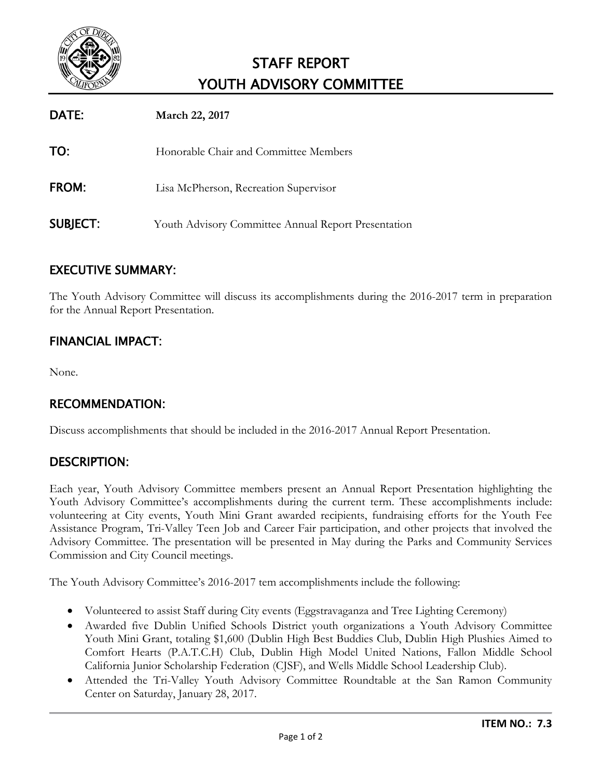

| DATE:           | March 22, 2017                                      |
|-----------------|-----------------------------------------------------|
| TO:             | Honorable Chair and Committee Members               |
| <b>FROM:</b>    | Lisa McPherson, Recreation Supervisor               |
| <b>SUBJECT:</b> | Youth Advisory Committee Annual Report Presentation |

## EXECUTIVE SUMMARY:

The Youth Advisory Committee will discuss its accomplishments during the 2016-2017 term in preparation for the Annual Report Presentation.

## FINANCIAL IMPACT:

None.

### RECOMMENDATION:

Discuss accomplishments that should be included in the 2016-2017 Annual Report Presentation.

### DESCRIPTION:

Each year, Youth Advisory Committee members present an Annual Report Presentation highlighting the Youth Advisory Committee's accomplishments during the current term. These accomplishments include: volunteering at City events, Youth Mini Grant awarded recipients, fundraising efforts for the Youth Fee Assistance Program, Tri-Valley Teen Job and Career Fair participation, and other projects that involved the Advisory Committee. The presentation will be presented in May during the Parks and Community Services Commission and City Council meetings.

The Youth Advisory Committee's 2016-2017 tem accomplishments include the following:

- Volunteered to assist Staff during City events (Eggstravaganza and Tree Lighting Ceremony)
- Awarded five Dublin Unified Schools District youth organizations a Youth Advisory Committee Youth Mini Grant, totaling \$1,600 (Dublin High Best Buddies Club, Dublin High Plushies Aimed to Comfort Hearts (P.A.T.C.H) Club, Dublin High Model United Nations, Fallon Middle School California Junior Scholarship Federation (CJSF), and Wells Middle School Leadership Club).
- Attended the Tri-Valley Youth Advisory Committee Roundtable at the San Ramon Community Center on Saturday, January 28, 2017.